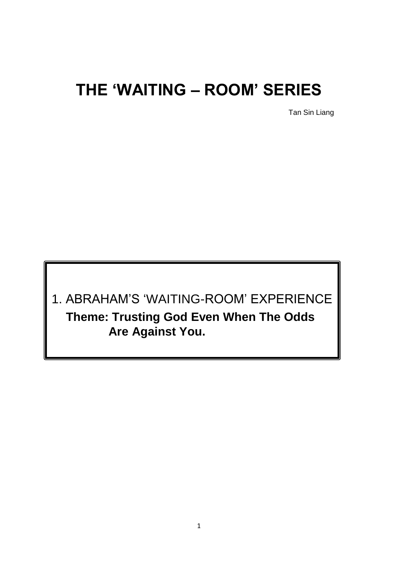# **THE 'WAITING – ROOM' SERIES**

Tan Sin Liang

1. ABRAHAM'S 'WAITING-ROOM' EXPERIENCE **Theme: Trusting God Even When The Odds Are Against You.**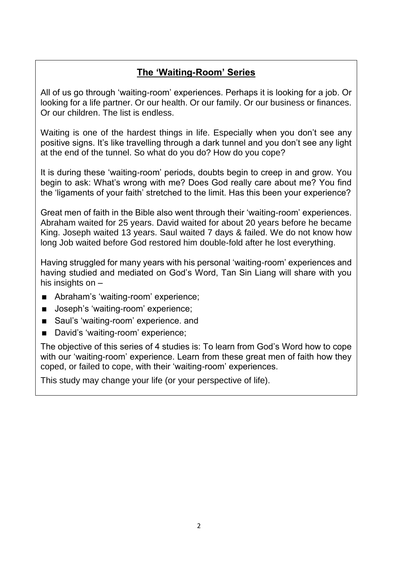# **The 'Waiting-Room' Series**

All of us go through 'waiting-room' experiences. Perhaps it is looking for a job. Or looking for a life partner. Or our health. Or our family. Or our business or finances. Or our children. The list is endless.

Waiting is one of the hardest things in life. Especially when you don't see any positive signs. It's like travelling through a dark tunnel and you don't see any light at the end of the tunnel. So what do you do? How do you cope?

It is during these 'waiting-room' periods, doubts begin to creep in and grow. You begin to ask: What's wrong with me? Does God really care about me? You find the 'ligaments of your faith' stretched to the limit. Has this been your experience?

Great men of faith in the Bible also went through their 'waiting-room' experiences. Abraham waited for 25 years. David waited for about 20 years before he became King. Joseph waited 13 years. Saul waited 7 days & failed. We do not know how long Job waited before God restored him double-fold after he lost everything.

Having struggled for many years with his personal 'waiting-room' experiences and having studied and mediated on God's Word, Tan Sin Liang will share with you his insights on –

- Abraham's 'waiting-room' experience;
- **Joseph's 'waiting-room' experience;**
- Saul's 'waiting-room' experience, and
- David's 'waiting-room' experience;

The objective of this series of 4 studies is: To learn from God's Word how to cope with our 'waiting-room' experience. Learn from these great men of faith how they coped, or failed to cope, with their 'waiting-room' experiences.

This study may change your life (or your perspective of life).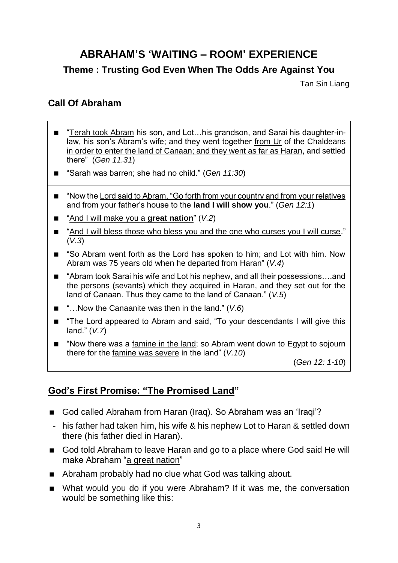# **ABRAHAM'S 'WAITING – ROOM' EXPERIENCE**

## **Theme : Trusting God Even When The Odds Are Against You**

Tan Sin Liang

## **Call Of Abraham**

- "Terah took Abram his son, and Lot…his grandson, and Sarai his daughter-inlaw, his son's Abram's wife; and they went together from Ur of the Chaldeans in order to enter the land of Canaan; and they went as far as Haran, and settled there" (*Gen 11.31*)
- "Sarah was barren; she had no child." (*Gen 11:30*)
- "Now the Lord said to Abram, "Go forth from your country and from your relatives and from your father's house to the **land I will show you**." (*Gen 12:1*)
- "And I will make you a **great nation**" ( $V.2$ )
- "And I will bless those who bless you and the one who curses you I will curse." (*V.3*)
- "So Abram went forth as the Lord has spoken to him; and Lot with him. Now Abram was 75 years old when he departed from Haran" (*V.4*)
- "Abram took Sarai his wife and Lot his nephew, and all their possessions...and the persons (sevants) which they acquired in Haran, and they set out for the land of Canaan. Thus they came to the land of Canaan." (*V.5*)
- "…Now the Canaanite was then in the land." (*V.6*)
- "The Lord appeared to Abram and said, "To your descendants I will give this land." (*V.7*)
- "Now there was a famine in the land; so Abram went down to Egypt to sojourn there for the famine was severe in the land" (*V.10*)

(*Gen 12: 1-10*)

## **God's First Promise: "The Promised Land"**

- God called Abraham from Haran (Iraq). So Abraham was an 'Iraqi'?
- his father had taken him, his wife & his nephew Lot to Haran & settled down there (his father died in Haran).
- God told Abraham to leave Haran and go to a place where God said He will make Abraham "a great nation"
- Abraham probably had no clue what God was talking about.
- What would you do if you were Abraham? If it was me, the conversation would be something like this: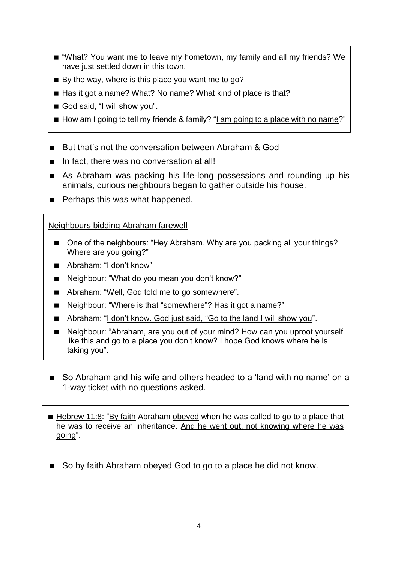- "What? You want me to leave my hometown, my family and all my friends? We have just settled down in this town.
- $\blacksquare$  By the way, where is this place you want me to go?
- Has it got a name? What? No name? What kind of place is that?
- God said, "I will show you".
- How am I going to tell my friends & family? "I am going to a place with no name?"
- But that's not the conversation between Abraham & God
- In fact, there was no conversation at all!
- As Abraham was packing his life-long possessions and rounding up his animals, curious neighbours began to gather outside his house.
- **Perhaps this was what happened.**

#### Neighbours bidding Abraham farewell

- One of the neighbours: "Hey Abraham. Why are you packing all your things? Where are you going?"
- Abraham: "I don't know"
- Neighbour: "What do you mean you don't know?"
- Abraham: "Well, God told me to go somewhere".
- Neighbour: "Where is that "somewhere"? Has it got a name?"
- Abraham: "I don't know. God just said, "Go to the land I will show you".
- Neighbour: "Abraham, are you out of your mind? How can you uproot yourself like this and go to a place you don't know? I hope God knows where he is taking you".
- So Abraham and his wife and others headed to a 'land with no name' on a 1-way ticket with no questions asked.
- Hebrew 11:8: "By faith Abraham obeyed when he was called to go to a place that he was to receive an inheritance. And he went out, not knowing where he was going".
- So by faith Abraham obeyed God to go to a place he did not know.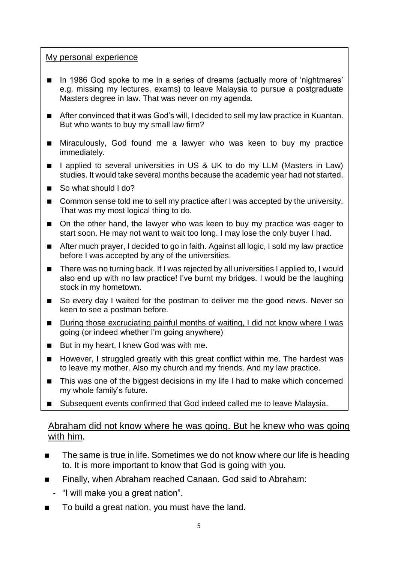#### My personal experience

- In 1986 God spoke to me in a series of dreams (actually more of 'nightmares' e.g. missing my lectures, exams) to leave Malaysia to pursue a postgraduate Masters degree in law. That was never on my agenda.
- After convinced that it was God's will, I decided to sell my law practice in Kuantan. But who wants to buy my small law firm?
- **Miraculously, God found me a lawyer who was keen to buy my practice** immediately.
- 1 applied to several universities in US & UK to do my LLM (Masters in Law) studies. It would take several months because the academic year had not started.
- So what should I do?
- Common sense told me to sell my practice after I was accepted by the university. That was my most logical thing to do.
- On the other hand, the lawyer who was keen to buy my practice was eager to start soon. He may not want to wait too long. I may lose the only buyer I had.
- After much prayer, I decided to go in faith. Against all logic, I sold my law practice before I was accepted by any of the universities.
- There was no turning back. If I was rejected by all universities I applied to, I would also end up with no law practice! I've burnt my bridges. I would be the laughing stock in my hometown.
- So every day I waited for the postman to deliver me the good news. Never so keen to see a postman before.
- During those excruciating painful months of waiting, I did not know where I was going (or indeed whether I'm going anywhere)
- But in my heart, I knew God was with me.
- However, I struggled greatly with this great conflict within me. The hardest was to leave my mother. Also my church and my friends. And my law practice.
- This was one of the biggest decisions in my life I had to make which concerned my whole family's future.
- Subsequent events confirmed that God indeed called me to leave Malaysia.

#### Abraham did not know where he was going. But he knew who was going with him.

- The same is true in life. Sometimes we do not know where our life is heading to. It is more important to know that God is going with you.
- Finally, when Abraham reached Canaan. God said to Abraham:
	- "I will make you a great nation".
- To build a great nation, you must have the land.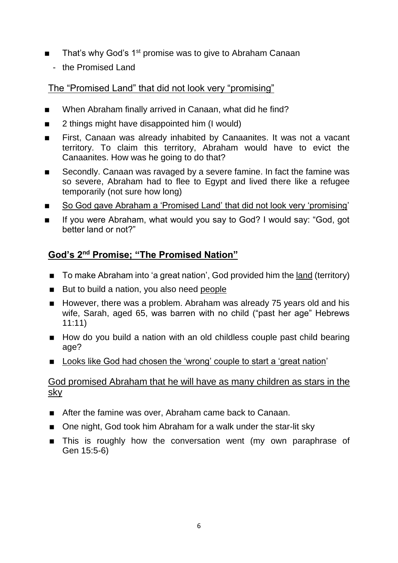- That's why God's 1<sup>st</sup> promise was to give to Abraham Canaan
	- the Promised Land

#### The "Promised Land" that did not look very "promising"

- When Abraham finally arrived in Canaan, what did he find?
- 2 things might have disappointed him (I would)
- First, Canaan was already inhabited by Canaanites. It was not a vacant territory. To claim this territory, Abraham would have to evict the Canaanites. How was he going to do that?
- Secondly. Canaan was ravaged by a severe famine. In fact the famine was so severe, Abraham had to flee to Egypt and lived there like a refugee temporarily (not sure how long)
- So God gave Abraham a 'Promised Land' that did not look very 'promising'
- If you were Abraham, what would you say to God? I would say: "God, got better land or not?"

## **God's 2nd Promise; "The Promised Nation"**

- To make Abraham into 'a great nation', God provided him the land (territory)
- But to build a nation, you also need people
- However, there was a problem. Abraham was already 75 years old and his wife, Sarah, aged 65, was barren with no child ("past her age" Hebrews 11:11)
- How do you build a nation with an old childless couple past child bearing age?
- Looks like God had chosen the 'wrong' couple to start a 'great nation'

#### God promised Abraham that he will have as many children as stars in the sky

- After the famine was over, Abraham came back to Canaan.
- One night, God took him Abraham for a walk under the star-lit sky
- **This is roughly how the conversation went (my own paraphrase of** Gen 15:5-6)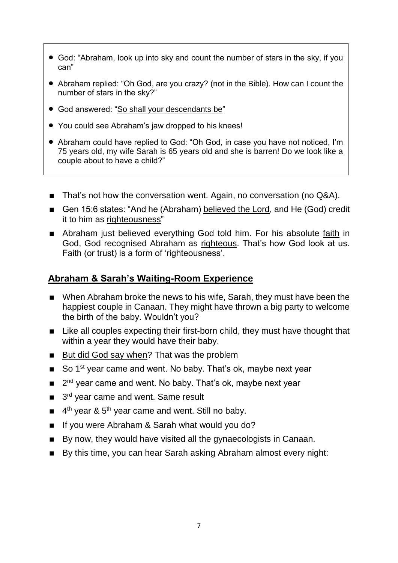- God: "Abraham, look up into sky and count the number of stars in the sky, if you can"
- Abraham replied: "Oh God, are you crazy? (not in the Bible). How can I count the number of stars in the sky?"
- God answered: "So shall your descendants be"
- You could see Abraham's jaw dropped to his knees!
- Abraham could have replied to God: "Oh God, in case you have not noticed, I'm 75 years old, my wife Sarah is 65 years old and she is barren! Do we look like a couple about to have a child?"
- That's not how the conversation went. Again, no conversation (no Q&A).
- Gen 15:6 states: "And he (Abraham) believed the Lord, and He (God) credit it to him as righteousness"
- Abraham just believed everything God told him. For his absolute faith in God, God recognised Abraham as righteous. That's how God look at us. Faith (or trust) is a form of 'righteousness'.

#### **Abraham & Sarah's Waiting-Room Experience**

- When Abraham broke the news to his wife, Sarah, they must have been the happiest couple in Canaan. They might have thrown a big party to welcome the birth of the baby. Wouldn't you?
- Like all couples expecting their first-born child, they must have thought that within a year they would have their baby.
- But did God say when? That was the problem
- So 1<sup>st</sup> year came and went. No baby. That's ok, maybe next year
- $\blacksquare$  $2<sup>nd</sup>$  year came and went. No baby. That's ok, maybe next year
- 3 3<sup>rd</sup> year came and went. Same result
- 4  $4<sup>th</sup>$  year & 5<sup>th</sup> year came and went. Still no baby.
- If you were Abraham & Sarah what would you do?
- By now, they would have visited all the gynaecologists in Canaan.
- By this time, you can hear Sarah asking Abraham almost every night: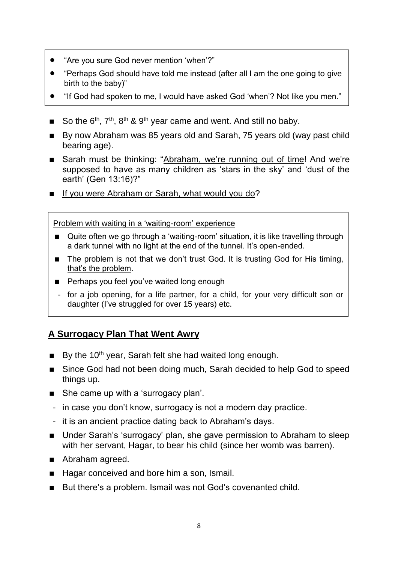- "Are you sure God never mention 'when'?"
- "Perhaps God should have told me instead (after all I am the one going to give birth to the baby)"
- "If God had spoken to me, I would have asked God 'when'? Not like you men."
- So the  $6<sup>th</sup>$ ,  $7<sup>th</sup>$ ,  $8<sup>th</sup>$  &  $9<sup>th</sup>$  year came and went. And still no baby.
- By now Abraham was 85 years old and Sarah, 75 years old (way past child bearing age).
- Sarah must be thinking: "Abraham, we're running out of time! And we're supposed to have as many children as 'stars in the sky' and 'dust of the earth' (Gen 13:16)?"
- If you were Abraham or Sarah, what would you do?

Problem with waiting in a 'waiting-room' experience

- Quite often we go through a 'waiting-room' situation, it is like travelling through a dark tunnel with no light at the end of the tunnel. It's open-ended.
- The problem is not that we don't trust God. It is trusting God for His timing, that's the problem.
- **Perhaps you feel you've waited long enough**
- for a job opening, for a life partner, for a child, for your very difficult son or daughter (I've struggled for over 15 years) etc.

## **A Surrogacy Plan That Went Awry**

- $\blacksquare$  By the 10<sup>th</sup> year, Sarah felt she had waited long enough.
- Since God had not been doing much, Sarah decided to help God to speed things up.
- She came up with a 'surrogacy plan'.
- in case you don't know, surrogacy is not a modern day practice.
- it is an ancient practice dating back to Abraham's days.
- Under Sarah's 'surrogacy' plan, she gave permission to Abraham to sleep with her servant, Hagar, to bear his child (since her womb was barren).
- Abraham agreed.
- Hagar conceived and bore him a son, Ismail.
- But there's a problem. Ismail was not God's covenanted child.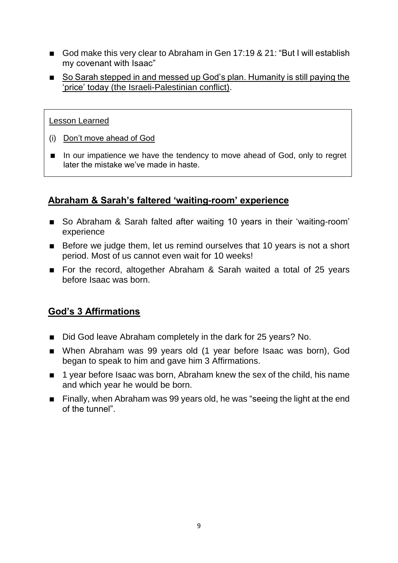- God make this very clear to Abraham in Gen 17:19 & 21: "But I will establish my covenant with Isaac"
- So Sarah stepped in and messed up God's plan. Humanity is still paying the 'price' today (the Israeli-Palestinian conflict).

#### Lesson Learned

- (i) Don't move ahead of God
- In our impatience we have the tendency to move ahead of God, only to regret later the mistake we've made in haste.

## **Abraham & Sarah's faltered 'waiting-room' experience**

- So Abraham & Sarah falted after waiting 10 years in their 'waiting-room' experience
- Before we judge them, let us remind ourselves that 10 years is not a short period. Most of us cannot even wait for 10 weeks!
- For the record, altogether Abraham & Sarah waited a total of 25 years before Isaac was born.

#### **God's 3 Affirmations**

- Did God leave Abraham completely in the dark for 25 years? No.
- When Abraham was 99 years old (1 year before Isaac was born), God began to speak to him and gave him 3 Affirmations.
- 1 year before Isaac was born, Abraham knew the sex of the child, his name and which year he would be born.
- **Finally, when Abraham was 99 years old, he was "seeing the light at the end Finally** of the tunnel".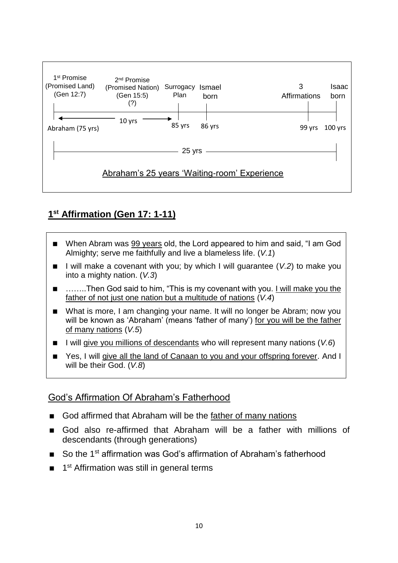

# **1 st Affirmation (Gen 17: 1-11)**

- When Abram was 99 years old, the Lord appeared to him and said, "I am God Almighty; serve me faithfully and live a blameless life. (*V.1*)
- I will make a covenant with you; by which I will guarantee (*V.2*) to make you into a mighty nation. (*V.3*)
- ……..Then God said to him, "This is my covenant with you. I will make you the father of not just one nation but a multitude of nations (*V.4*)
- What is more, I am changing your name. It will no longer be Abram; now you will be known as 'Abraham' (means 'father of many') for you will be the father of many nations (*V.5*)
- I will give you millions of descendants who will represent many nations (*V.6*)
- Yes, I will give all the land of Canaan to you and your offspring forever. And I will be their God. (*V.8*)

#### God's Affirmation Of Abraham's Fatherhood

- God affirmed that Abraham will be the father of many nations
- God also re-affirmed that Abraham will be a father with millions of descendants (through generations)
- So the 1<sup>st</sup> affirmation was God's affirmation of Abraham's fatherhood
- 1<sup>st</sup> Affirmation was still in general terms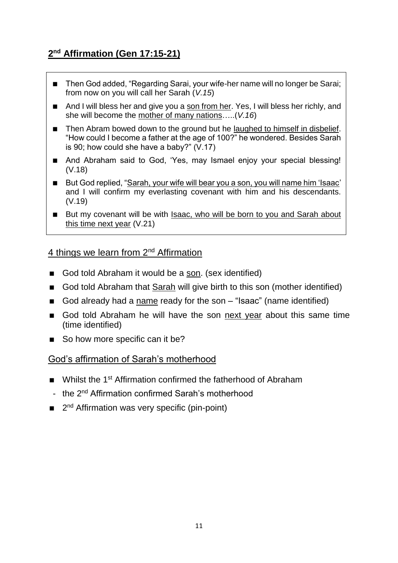# **2 nd Affirmation (Gen 17:15-21)**

- Then God added, "Regarding Sarai, your wife-her name will no longer be Sarai; from now on you will call her Sarah (*V.15*)
- And I will bless her and give you a son from her. Yes, I will bless her richly, and she will become the mother of many nations…..(*V.16*)
- Then Abram bowed down to the ground but he laughed to himself in disbelief. "How could I become a father at the age of 100?" he wondered. Besides Sarah is 90; how could she have a baby?" (V.17)
- And Abraham said to God, 'Yes, may Ismael enjoy your special blessing! (V.18)
- But God replied, "Sarah, your wife will bear you a son, you will name him 'Isaac' and I will confirm my everlasting covenant with him and his descendants. (V.19)
- But my covenant will be with Isaac, who will be born to you and Sarah about this time next year (V.21)

#### 4 things we learn from 2<sup>nd</sup> Affirmation

- God told Abraham it would be a son. (sex identified)
- God told Abraham that Sarah will give birth to this son (mother identified)
- God already had a name ready for the son "Isaac" (name identified)
- God told Abraham he will have the son next year about this same time (time identified)
- So how more specific can it be?

#### God's affirmation of Sarah's motherhood

- Whilst the 1<sup>st</sup> Affirmation confirmed the fatherhood of Abraham
- the 2<sup>nd</sup> Affirmation confirmed Sarah's motherhood
- 2<sup>nd</sup> Affirmation was very specific (pin-point)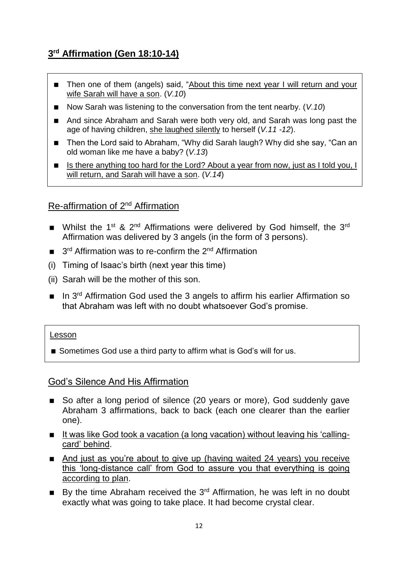# **3 rd Affirmation (Gen 18:10-14)**

- Then one of them (angels) said, "About this time next year I will return and your wife Sarah will have a son. (*V.10*)
- Now Sarah was listening to the conversation from the tent nearby. (*V.10*)
- And since Abraham and Sarah were both very old, and Sarah was long past the age of having children, she laughed silently to herself (*V.11 -12*).
- Then the Lord said to Abraham, "Why did Sarah laugh? Why did she say, "Can an old woman like me have a baby? (*V.13*)
- Is there anything too hard for the Lord? About a year from now, just as I told you, I will return, and Sarah will have a son. (*V.14*)

#### Re-affirmation of 2nd Affirmation

- Whilst the 1<sup>st</sup> & 2<sup>nd</sup> Affirmations were delivered by God himself, the 3<sup>rd</sup> Affirmation was delivered by 3 angels (in the form of 3 persons).
- $\Box$  3<sup>rd</sup> Affirmation was to re-confirm the 2<sup>nd</sup> Affirmation
- (i) Timing of Isaac's birth (next year this time)
- (ii) Sarah will be the mother of this son.
- $\blacksquare$  In 3<sup>rd</sup> Affirmation God used the 3 angels to affirm his earlier Affirmation so that Abraham was left with no doubt whatsoever God's promise.

#### Lesson

■ Sometimes God use a third party to affirm what is God's will for us.

#### God's Silence And His Affirmation

- So after a long period of silence (20 years or more), God suddenly gave Abraham 3 affirmations, back to back (each one clearer than the earlier one).
- It was like God took a vacation (a long vacation) without leaving his 'callingcard' behind.
- And just as you're about to give up (having waited 24 years) you receive this 'long-distance call' from God to assure you that everything is going according to plan.
- By the time Abraham received the  $3<sup>rd</sup>$  Affirmation, he was left in no doubt exactly what was going to take place. It had become crystal clear.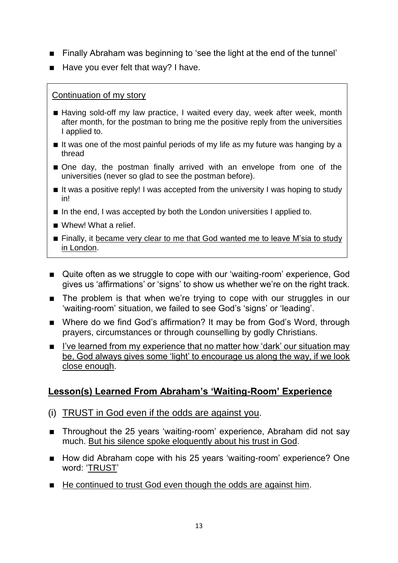- Finally Abraham was beginning to 'see the light at the end of the tunnel'
- $\blacksquare$  Have you ever felt that way? I have.

#### Continuation of my story

- Having sold-off my law practice, I waited every day, week after week, month after month, for the postman to bring me the positive reply from the universities I applied to.
- $\blacksquare$  It was one of the most painful periods of my life as my future was hanging by a thread
- One day, the postman finally arrived with an envelope from one of the universities (never so glad to see the postman before).
- $\blacksquare$  It was a positive reply! I was accepted from the university I was hoping to study in!
- In the end, I was accepted by both the London universities I applied to.
- Whew! What a relief.
- **Finally, it became very clear to me that God wanted me to leave M'sia to study** in London.
- Quite often as we struggle to cope with our 'waiting-room' experience, God gives us 'affirmations' or 'signs' to show us whether we're on the right track.
- The problem is that when we're trying to cope with our struggles in our 'waiting-room' situation, we failed to see God's 'signs' or 'leading'.
- Where do we find God's affirmation? It may be from God's Word, through prayers, circumstances or through counselling by godly Christians.
- I've learned from my experience that no matter how 'dark' our situation may be, God always gives some 'light' to encourage us along the way, if we look close enough.

## **Lesson(s) Learned From Abraham's 'Waiting-Room' Experience**

- (i) TRUST in God even if the odds are against you.
- Throughout the 25 years 'waiting-room' experience, Abraham did not say much. But his silence spoke eloquently about his trust in God.
- How did Abraham cope with his 25 years 'waiting-room' experience? One word: 'TRUST'
- He continued to trust God even though the odds are against him.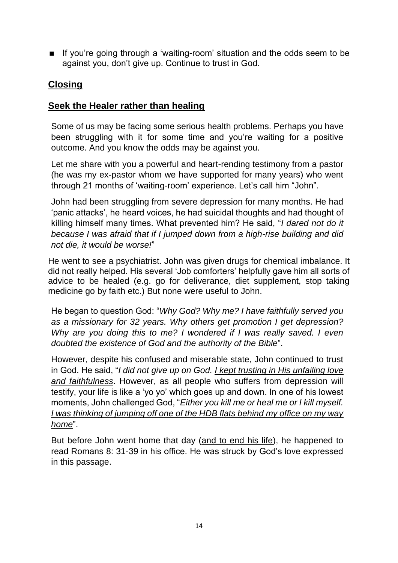If you're going through a 'waiting-room' situation and the odds seem to be against you, don't give up. Continue to trust in God.

# **Closing**

#### **Seek the Healer rather than healing**

Some of us may be facing some serious health problems. Perhaps you have been struggling with it for some time and you're waiting for a positive outcome. And you know the odds may be against you.

Let me share with you a powerful and heart-rending testimony from a pastor (he was my ex-pastor whom we have supported for many years) who went through 21 months of 'waiting-room' experience. Let's call him "John".

John had been struggling from severe depression for many months. He had 'panic attacks', he heard voices, he had suicidal thoughts and had thought of killing himself many times. What prevented him? He said, "*I dared not do it because I was afraid that if I jumped down from a high-rise building and did not die, it would be worse!*"

He went to see a psychiatrist. John was given drugs for chemical imbalance. It did not really helped. His several 'Job comforters' helpfully gave him all sorts of advice to be healed (e.g. go for deliverance, diet supplement, stop taking medicine go by faith etc.) But none were useful to John.

He began to question God: "*Why God? Why me? I have faithfully served you as a missionary for 32 years. Why others get promotion I get depression? Why are you doing this to me? I wondered if I was really saved. I even doubted the existence of God and the authority of the Bible*".

However, despite his confused and miserable state, John continued to trust in God. He said, "*I did not give up on God. I kept trusting in His unfailing love and faithfulness*. However, as all people who suffers from depression will testify, your life is like a 'yo yo' which goes up and down. In one of his lowest moments, John challenged God, "*Either you kill me or heal me or I kill myself. I was thinking of jumping off one of the HDB flats behind my office on my way home*".

But before John went home that day (and to end his life), he happened to read Romans 8: 31-39 in his office. He was struck by God's love expressed in this passage.